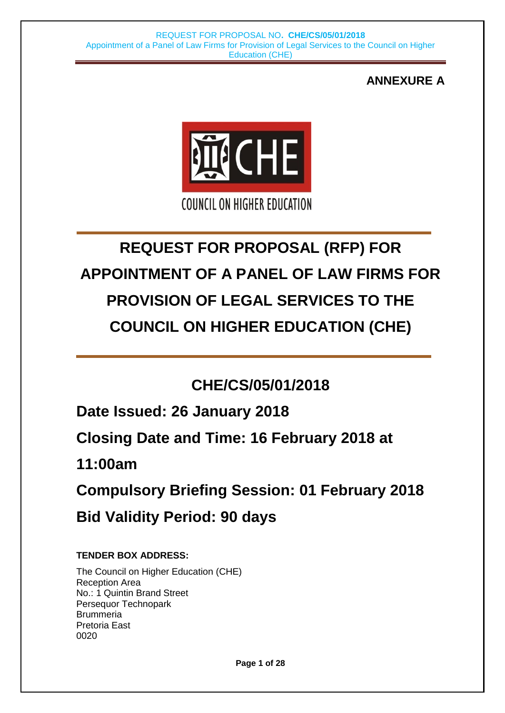## **ANNEXURE A**



# **REQUEST FOR PROPOSAL (RFP) FOR APPOINTMENT OF A PANEL OF LAW FIRMS FOR PROVISION OF LEGAL SERVICES TO THE COUNCIL ON HIGHER EDUCATION (CHE)**

# **CHE/CS/05/01/2018**

**Date Issued: 26 January 2018**

**Closing Date and Time: 16 February 2018 at**

**11:00am**

**Compulsory Briefing Session: 01 February 2018 Bid Validity Period: 90 days**

### **TENDER BOX ADDRESS:**

The Council on Higher Education (CHE) Reception Area No.: 1 Quintin Brand Street Persequor Technopark **Brummeria** Pretoria East 0020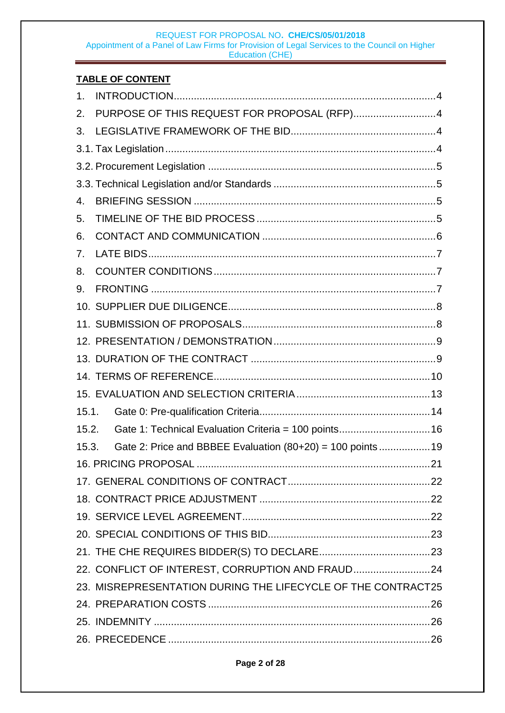### **TABLE OF CONTENT**

| 1 <sub>1</sub> |                                                              |  |
|----------------|--------------------------------------------------------------|--|
| 2.             | PURPOSE OF THIS REQUEST FOR PROPOSAL (RFP)4                  |  |
| 3.             |                                                              |  |
|                |                                                              |  |
|                |                                                              |  |
|                |                                                              |  |
| 4.             |                                                              |  |
| 5.             |                                                              |  |
| 6.             |                                                              |  |
| 7.             |                                                              |  |
| 8.             |                                                              |  |
| 9.             |                                                              |  |
|                |                                                              |  |
|                |                                                              |  |
|                |                                                              |  |
|                |                                                              |  |
|                |                                                              |  |
|                |                                                              |  |
| 15.1.          |                                                              |  |
| 15.2.          | Gate 1: Technical Evaluation Criteria = 100 points16         |  |
| 15.3.          | Gate 2: Price and BBBEE Evaluation (80+20) = 100 points 19   |  |
|                |                                                              |  |
|                |                                                              |  |
|                |                                                              |  |
|                |                                                              |  |
|                |                                                              |  |
|                |                                                              |  |
|                | 22. CONFLICT OF INTEREST, CORRUPTION AND FRAUD24             |  |
|                | 23. MISREPRESENTATION DURING THE LIFECYCLE OF THE CONTRACT25 |  |
|                |                                                              |  |
|                |                                                              |  |
|                |                                                              |  |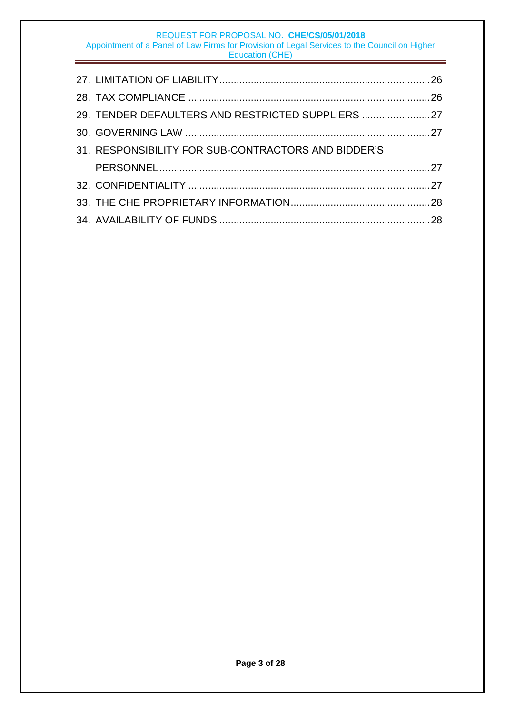| 29. TENDER DEFAULTERS AND RESTRICTED SUPPLIERS 27   |  |
|-----------------------------------------------------|--|
|                                                     |  |
| 31. RESPONSIBILITY FOR SUB-CONTRACTORS AND BIDDER'S |  |
|                                                     |  |
|                                                     |  |
|                                                     |  |
|                                                     |  |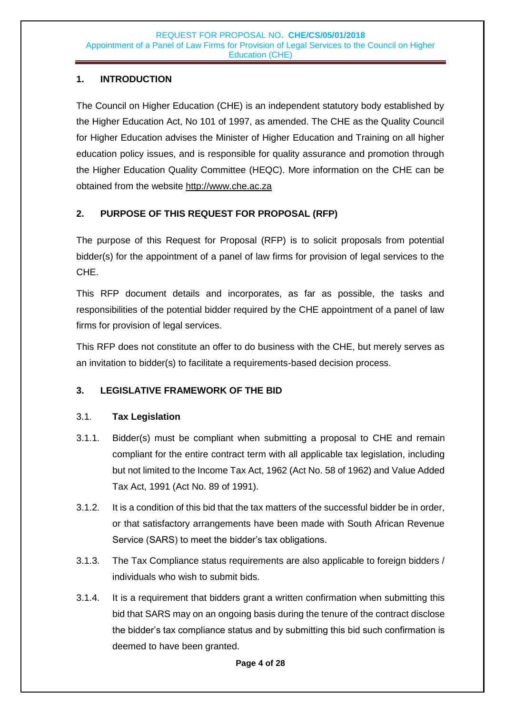### <span id="page-3-0"></span>**1. INTRODUCTION**

The Council on Higher Education (CHE) is an independent statutory body established by the Higher Education Act, No 101 of 1997, as amended. The CHE as the Quality Council for Higher Education advises the Minister of Higher Education and Training on all higher education policy issues, and is responsible for quality assurance and promotion through the Higher Education Quality Committee (HEQC). More information on the CHE can be obtained from the website [http://www.che.ac.za](http://www.che.ac.za/)

### <span id="page-3-1"></span>**2. PURPOSE OF THIS REQUEST FOR PROPOSAL (RFP)**

The purpose of this Request for Proposal (RFP) is to solicit proposals from potential bidder(s) for the appointment of a panel of law firms for provision of legal services to the CHE.

This RFP document details and incorporates, as far as possible, the tasks and responsibilities of the potential bidder required by the CHE appointment of a panel of law firms for provision of legal services.

This RFP does not constitute an offer to do business with the CHE, but merely serves as an invitation to bidder(s) to facilitate a requirements-based decision process.

### <span id="page-3-2"></span>**3. LEGISLATIVE FRAMEWORK OF THE BID**

### <span id="page-3-3"></span>3.1. **Tax Legislation**

- 3.1.1. Bidder(s) must be compliant when submitting a proposal to CHE and remain compliant for the entire contract term with all applicable tax legislation, including but not limited to the Income Tax Act, 1962 (Act No. 58 of 1962) and Value Added Tax Act, 1991 (Act No. 89 of 1991).
- 3.1.2. It is a condition of this bid that the tax matters of the successful bidder be in order, or that satisfactory arrangements have been made with South African Revenue Service (SARS) to meet the bidder's tax obligations.
- 3.1.3. The Tax Compliance status requirements are also applicable to foreign bidders / individuals who wish to submit bids.
- 3.1.4. It is a requirement that bidders grant a written confirmation when submitting this bid that SARS may on an ongoing basis during the tenure of the contract disclose the bidder's tax compliance status and by submitting this bid such confirmation is deemed to have been granted.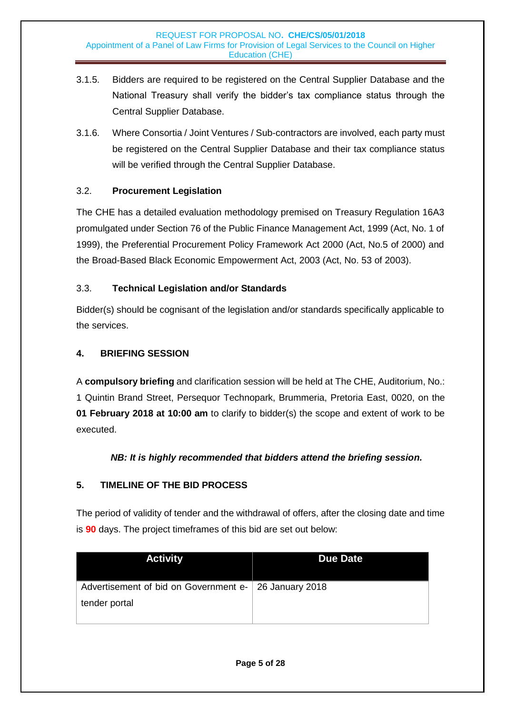- 3.1.5. Bidders are required to be registered on the Central Supplier Database and the National Treasury shall verify the bidder's tax compliance status through the Central Supplier Database.
- 3.1.6. Where Consortia / Joint Ventures / Sub-contractors are involved, each party must be registered on the Central Supplier Database and their tax compliance status will be verified through the Central Supplier Database.

### <span id="page-4-0"></span>3.2. **Procurement Legislation**

The CHE has a detailed evaluation methodology premised on Treasury Regulation 16A3 promulgated under Section 76 of the Public Finance Management Act, 1999 (Act, No. 1 of 1999), the Preferential Procurement Policy Framework Act 2000 (Act, No.5 of 2000) and the Broad-Based Black Economic Empowerment Act, 2003 (Act, No. 53 of 2003).

### <span id="page-4-1"></span>3.3. **Technical Legislation and/or Standards**

Bidder(s) should be cognisant of the legislation and/or standards specifically applicable to the services.

### <span id="page-4-2"></span>**4. BRIEFING SESSION**

A **compulsory briefing** and clarification session will be held at The CHE, Auditorium, No.: 1 Quintin Brand Street, Persequor Technopark, Brummeria, Pretoria East, 0020, on the **01 February 2018 at 10:00 am** to clarify to bidder(s) the scope and extent of work to be executed.

### *NB: It is highly recommended that bidders attend the briefing session.*

### <span id="page-4-3"></span>**5. TIMELINE OF THE BID PROCESS**

The period of validity of tender and the withdrawal of offers, after the closing date and time is **90** days. The project timeframes of this bid are set out below:

| <b>Activity</b>                                       | <b>Due Date</b> |
|-------------------------------------------------------|-----------------|
| Advertisement of bid on Government e- 26 January 2018 |                 |
| tender portal                                         |                 |
|                                                       |                 |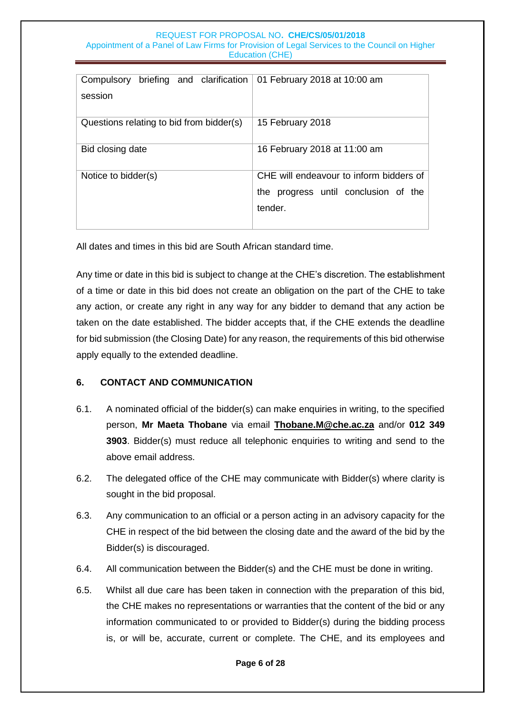| briefing and clarification<br>Compulsory<br>session | 01 February 2018 at 10:00 am                                                               |
|-----------------------------------------------------|--------------------------------------------------------------------------------------------|
| Questions relating to bid from bidder(s)            | 15 February 2018                                                                           |
| Bid closing date                                    | 16 February 2018 at 11:00 am                                                               |
| Notice to bidder(s)                                 | CHE will endeavour to inform bidders of<br>the progress until conclusion of the<br>tender. |

All dates and times in this bid are South African standard time.

Any time or date in this bid is subject to change at the CHE's discretion. The establishment of a time or date in this bid does not create an obligation on the part of the CHE to take any action, or create any right in any way for any bidder to demand that any action be taken on the date established. The bidder accepts that, if the CHE extends the deadline for bid submission (the Closing Date) for any reason, the requirements of this bid otherwise apply equally to the extended deadline.

### <span id="page-5-0"></span>**6. CONTACT AND COMMUNICATION**

- 6.1. A nominated official of the bidder(s) can make enquiries in writing, to the specified person, **Mr Maeta Thobane** via email **[Thobane.M@che.ac.za](mailto:Motlhalifi.D@che.ac.za)** and/or **012 349 3903**. Bidder(s) must reduce all telephonic enquiries to writing and send to the above email address.
- 6.2. The delegated office of the CHE may communicate with Bidder(s) where clarity is sought in the bid proposal.
- 6.3. Any communication to an official or a person acting in an advisory capacity for the CHE in respect of the bid between the closing date and the award of the bid by the Bidder(s) is discouraged.
- 6.4. All communication between the Bidder(s) and the CHE must be done in writing.
- 6.5. Whilst all due care has been taken in connection with the preparation of this bid, the CHE makes no representations or warranties that the content of the bid or any information communicated to or provided to Bidder(s) during the bidding process is, or will be, accurate, current or complete. The CHE, and its employees and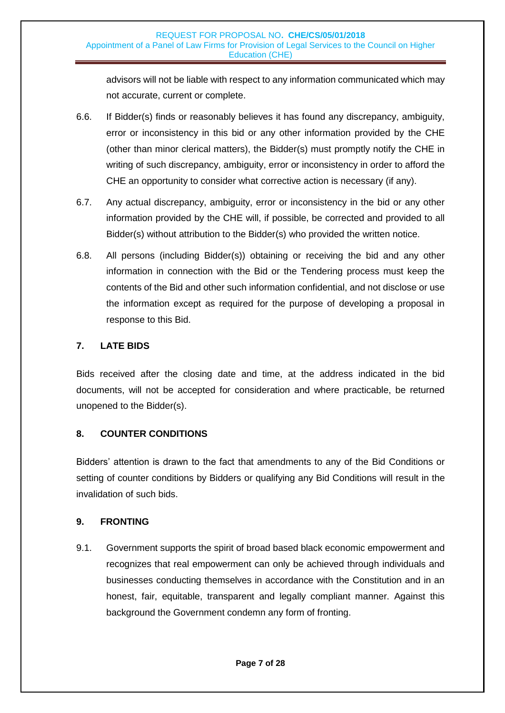advisors will not be liable with respect to any information communicated which may not accurate, current or complete.

- 6.6. If Bidder(s) finds or reasonably believes it has found any discrepancy, ambiguity, error or inconsistency in this bid or any other information provided by the CHE (other than minor clerical matters), the Bidder(s) must promptly notify the CHE in writing of such discrepancy, ambiguity, error or inconsistency in order to afford the CHE an opportunity to consider what corrective action is necessary (if any).
- 6.7. Any actual discrepancy, ambiguity, error or inconsistency in the bid or any other information provided by the CHE will, if possible, be corrected and provided to all Bidder(s) without attribution to the Bidder(s) who provided the written notice.
- 6.8. All persons (including Bidder(s)) obtaining or receiving the bid and any other information in connection with the Bid or the Tendering process must keep the contents of the Bid and other such information confidential, and not disclose or use the information except as required for the purpose of developing a proposal in response to this Bid.

### <span id="page-6-0"></span>**7. LATE BIDS**

Bids received after the closing date and time, at the address indicated in the bid documents, will not be accepted for consideration and where practicable, be returned unopened to the Bidder(s).

#### <span id="page-6-1"></span>**8. COUNTER CONDITIONS**

Bidders' attention is drawn to the fact that amendments to any of the Bid Conditions or setting of counter conditions by Bidders or qualifying any Bid Conditions will result in the invalidation of such bids.

#### <span id="page-6-2"></span>**9. FRONTING**

9.1. Government supports the spirit of broad based black economic empowerment and recognizes that real empowerment can only be achieved through individuals and businesses conducting themselves in accordance with the Constitution and in an honest, fair, equitable, transparent and legally compliant manner. Against this background the Government condemn any form of fronting.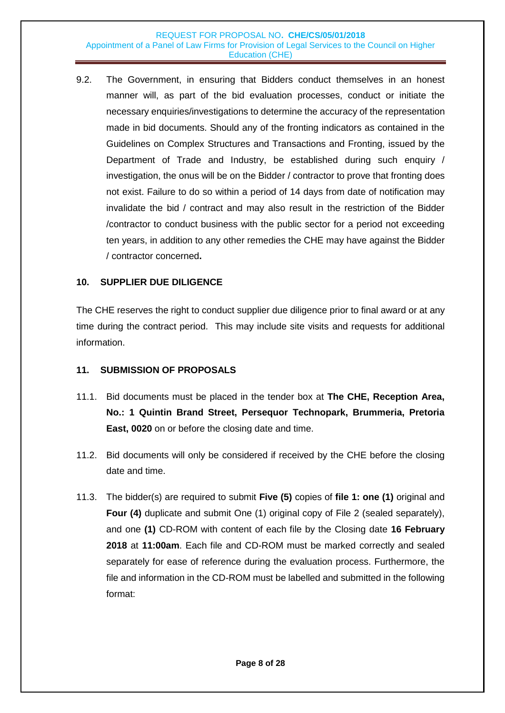9.2. The Government, in ensuring that Bidders conduct themselves in an honest manner will, as part of the bid evaluation processes, conduct or initiate the necessary enquiries/investigations to determine the accuracy of the representation made in bid documents. Should any of the fronting indicators as contained in the Guidelines on Complex Structures and Transactions and Fronting, issued by the Department of Trade and Industry, be established during such enquiry / investigation, the onus will be on the Bidder / contractor to prove that fronting does not exist. Failure to do so within a period of 14 days from date of notification may invalidate the bid / contract and may also result in the restriction of the Bidder /contractor to conduct business with the public sector for a period not exceeding ten years, in addition to any other remedies the CHE may have against the Bidder / contractor concerned**.**

### <span id="page-7-0"></span>**10. SUPPLIER DUE DILIGENCE**

The CHE reserves the right to conduct supplier due diligence prior to final award or at any time during the contract period. This may include site visits and requests for additional information.

#### <span id="page-7-1"></span>**11. SUBMISSION OF PROPOSALS**

- 11.1. Bid documents must be placed in the tender box at **The CHE, Reception Area, No.: 1 Quintin Brand Street, Persequor Technopark, Brummeria, Pretoria East, 0020** on or before the closing date and time.
- 11.2. Bid documents will only be considered if received by the CHE before the closing date and time.
- 11.3. The bidder(s) are required to submit **Five (5)** copies of **file 1: one (1)** original and **Four (4)** duplicate and submit One (1) original copy of File 2 (sealed separately), and one **(1)** CD-ROM with content of each file by the Closing date **16 February 2018** at **11:00am**. Each file and CD-ROM must be marked correctly and sealed separately for ease of reference during the evaluation process. Furthermore, the file and information in the CD-ROM must be labelled and submitted in the following format: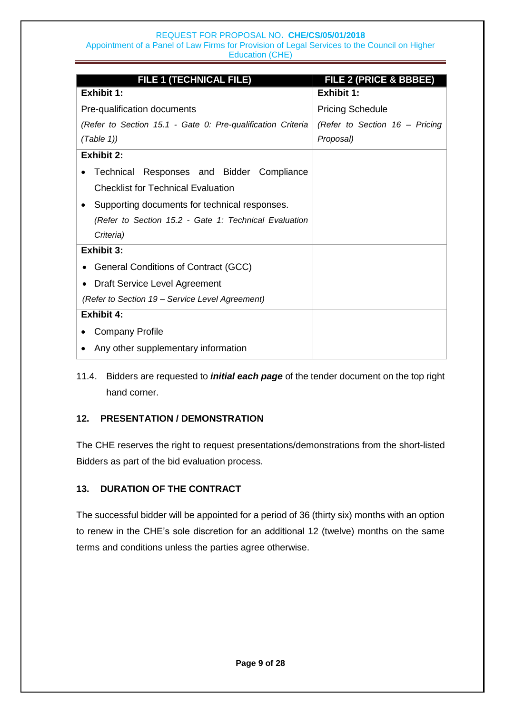| <b>FILE 1 (TECHNICAL FILE)</b><br><b>Exhibit 1:</b>         | FILE 2 (PRICE & BBBEE)<br><b>Exhibit 1:</b> |
|-------------------------------------------------------------|---------------------------------------------|
|                                                             |                                             |
| Pre-qualification documents                                 | <b>Pricing Schedule</b>                     |
| (Refer to Section 15.1 - Gate 0: Pre-qualification Criteria | (Refer to Section 16 - Pricing              |
| (Table 1)                                                   | Proposal)                                   |
| Exhibit 2:                                                  |                                             |
| Technical Responses and Bidder Compliance                   |                                             |
| <b>Checklist for Technical Evaluation</b>                   |                                             |
| Supporting documents for technical responses.               |                                             |
| (Refer to Section 15.2 - Gate 1: Technical Evaluation       |                                             |
| Criteria)                                                   |                                             |
| Exhibit 3:                                                  |                                             |
| General Conditions of Contract (GCC)                        |                                             |
| Draft Service Level Agreement                               |                                             |
| (Refer to Section 19 – Service Level Agreement)             |                                             |
| <b>Exhibit 4:</b>                                           |                                             |
| <b>Company Profile</b>                                      |                                             |
| Any other supplementary information                         |                                             |

11.4. Bidders are requested to *initial each page* of the tender document on the top right hand corner.

### <span id="page-8-0"></span>**12. PRESENTATION / DEMONSTRATION**

The CHE reserves the right to request presentations/demonstrations from the short-listed Bidders as part of the bid evaluation process.

### <span id="page-8-1"></span>**13. DURATION OF THE CONTRACT**

The successful bidder will be appointed for a period of 36 (thirty six) months with an option to renew in the CHE's sole discretion for an additional 12 (twelve) months on the same terms and conditions unless the parties agree otherwise.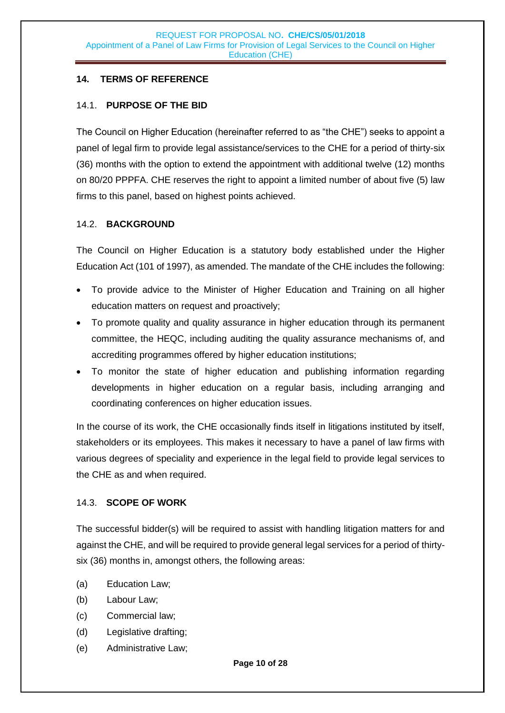### **14. TERMS OF REFERENCE**

### 14.1. **PURPOSE OF THE BID**

The Council on Higher Education (hereinafter referred to as "the CHE") seeks to appoint a panel of legal firm to provide legal assistance/services to the CHE for a period of thirty-six (36) months with the option to extend the appointment with additional twelve (12) months on 80/20 PPPFA. CHE reserves the right to appoint a limited number of about five (5) law firms to this panel, based on highest points achieved.

### 14.2. **BACKGROUND**

The Council on Higher Education is a statutory body established under the Higher Education Act (101 of 1997), as amended. The mandate of the CHE includes the following:

- To provide advice to the Minister of Higher Education and Training on all higher education matters on request and proactively;
- To promote quality and quality assurance in higher education through its permanent committee, the HEQC, including auditing the quality assurance mechanisms of, and accrediting programmes offered by higher education institutions;
- To monitor the state of higher education and publishing information regarding developments in higher education on a regular basis, including arranging and coordinating conferences on higher education issues.

In the course of its work, the CHE occasionally finds itself in litigations instituted by itself, stakeholders or its employees. This makes it necessary to have a panel of law firms with various degrees of speciality and experience in the legal field to provide legal services to the CHE as and when required.

### 14.3. **SCOPE OF WORK**

The successful bidder(s) will be required to assist with handling litigation matters for and against the CHE, and will be required to provide general legal services for a period of thirtysix (36) months in, amongst others, the following areas:

- (a) Education Law;
- (b) Labour Law;
- (c) Commercial law;
- (d) Legislative drafting;
- (e) Administrative Law;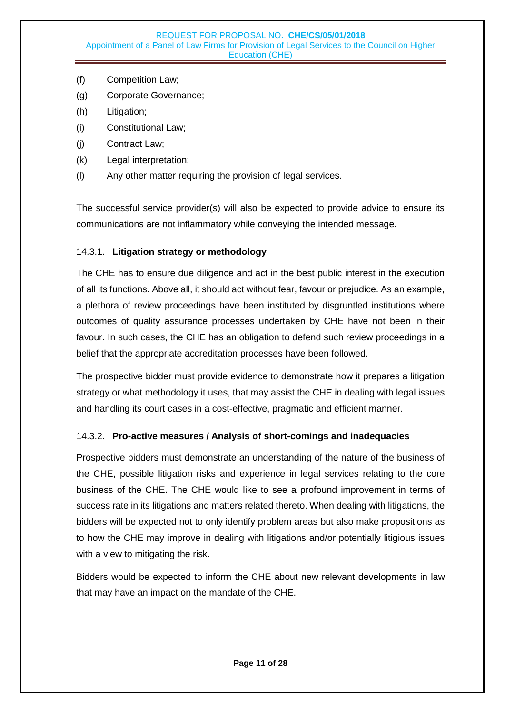- (f) Competition Law;
- (g) Corporate Governance;
- (h) Litigation;
- (i) Constitutional Law;
- (j) Contract Law;
- (k) Legal interpretation;
- (l) Any other matter requiring the provision of legal services.

The successful service provider(s) will also be expected to provide advice to ensure its communications are not inflammatory while conveying the intended message.

### 14.3.1. **Litigation strategy or methodology**

The CHE has to ensure due diligence and act in the best public interest in the execution of all its functions. Above all, it should act without fear, favour or prejudice. As an example, a plethora of review proceedings have been instituted by disgruntled institutions where outcomes of quality assurance processes undertaken by CHE have not been in their favour. In such cases, the CHE has an obligation to defend such review proceedings in a belief that the appropriate accreditation processes have been followed.

The prospective bidder must provide evidence to demonstrate how it prepares a litigation strategy or what methodology it uses, that may assist the CHE in dealing with legal issues and handling its court cases in a cost-effective, pragmatic and efficient manner.

### 14.3.2. **Pro-active measures / Analysis of short-comings and inadequacies**

Prospective bidders must demonstrate an understanding of the nature of the business of the CHE, possible litigation risks and experience in legal services relating to the core business of the CHE. The CHE would like to see a profound improvement in terms of success rate in its litigations and matters related thereto. When dealing with litigations, the bidders will be expected not to only identify problem areas but also make propositions as to how the CHE may improve in dealing with litigations and/or potentially litigious issues with a view to mitigating the risk.

Bidders would be expected to inform the CHE about new relevant developments in law that may have an impact on the mandate of the CHE.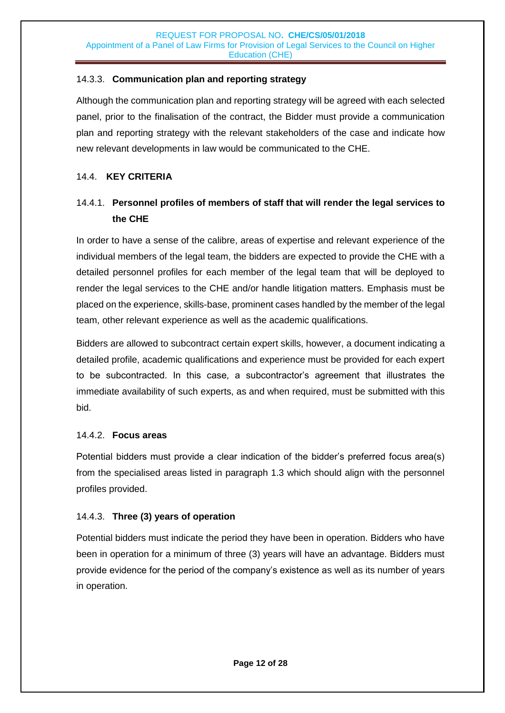### 14.3.3. **Communication plan and reporting strategy**

Although the communication plan and reporting strategy will be agreed with each selected panel, prior to the finalisation of the contract, the Bidder must provide a communication plan and reporting strategy with the relevant stakeholders of the case and indicate how new relevant developments in law would be communicated to the CHE.

### 14.4. **KEY CRITERIA**

### 14.4.1. **Personnel profiles of members of staff that will render the legal services to the CHE**

In order to have a sense of the calibre, areas of expertise and relevant experience of the individual members of the legal team, the bidders are expected to provide the CHE with a detailed personnel profiles for each member of the legal team that will be deployed to render the legal services to the CHE and/or handle litigation matters. Emphasis must be placed on the experience, skills-base, prominent cases handled by the member of the legal team, other relevant experience as well as the academic qualifications.

Bidders are allowed to subcontract certain expert skills, however, a document indicating a detailed profile, academic qualifications and experience must be provided for each expert to be subcontracted. In this case, a subcontractor's agreement that illustrates the immediate availability of such experts, as and when required, must be submitted with this bid.

### 14.4.2. **Focus areas**

Potential bidders must provide a clear indication of the bidder's preferred focus area(s) from the specialised areas listed in paragraph 1.3 which should align with the personnel profiles provided.

### 14.4.3. **Three (3) years of operation**

Potential bidders must indicate the period they have been in operation. Bidders who have been in operation for a minimum of three (3) years will have an advantage. Bidders must provide evidence for the period of the company's existence as well as its number of years in operation.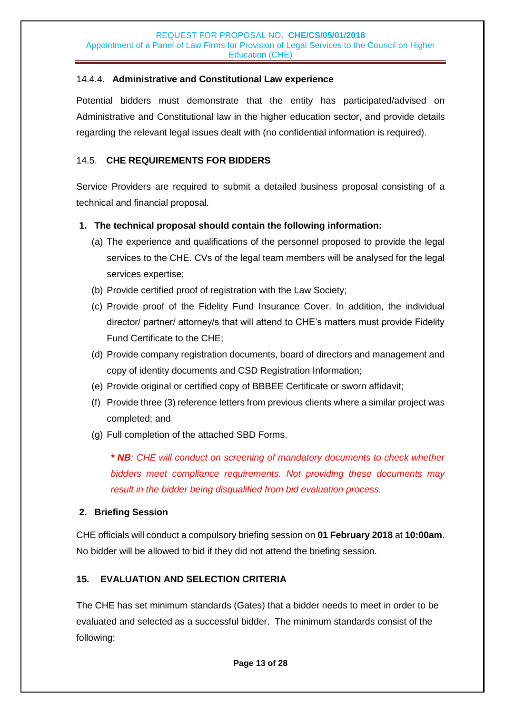### 14.4.4. **Administrative and Constitutional Law experience**

Potential bidders must demonstrate that the entity has participated/advised on Administrative and Constitutional law in the higher education sector, and provide details regarding the relevant legal issues dealt with (no confidential information is required).

### 14.5. **CHE REQUIREMENTS FOR BIDDERS**

Service Providers are required to submit a detailed business proposal consisting of a technical and financial proposal.

### **1. The technical proposal should contain the following information:**

- (a) The experience and qualifications of the personnel proposed to provide the legal services to the CHE. CVs of the legal team members will be analysed for the legal services expertise;
- (b) Provide certified proof of registration with the Law Society;
- (c) Provide proof of the Fidelity Fund Insurance Cover. In addition, the individual director/ partner/ attorney/s that will attend to CHE's matters must provide Fidelity Fund Certificate to the CHE;
- (d) Provide company registration documents, board of directors and management and copy of identity documents and CSD Registration Information;
- (e) Provide original or certified copy of BBBEE Certificate or sworn affidavit;
- (f) Provide three (3) reference letters from previous clients where a similar project was completed; and
- (g) Full completion of the attached SBD Forms.

*\* NB: CHE will conduct on screening of mandatory documents to check whether bidders meet compliance requirements. Not providing these documents may result in the bidder being disqualified from bid evaluation process.*

#### **2. Briefing Session**

CHE officials will conduct a compulsory briefing session on **01 February 2018** at **10:00am**. No bidder will be allowed to bid if they did not attend the briefing session.

### **15. EVALUATION AND SELECTION CRITERIA**

The CHE has set minimum standards (Gates) that a bidder needs to meet in order to be evaluated and selected as a successful bidder. The minimum standards consist of the following: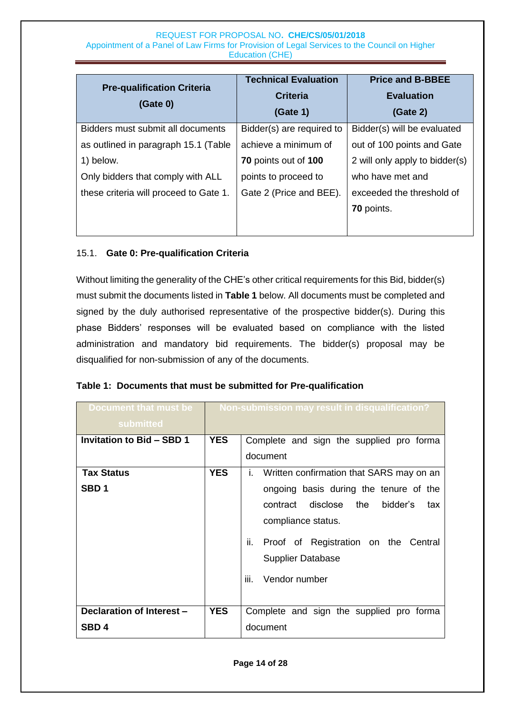| <b>Pre-qualification Criteria</b><br>(Gate 0) | <b>Technical Evaluation</b><br><b>Criteria</b><br>(Gate 1) | <b>Price and B-BBEE</b><br><b>Evaluation</b><br>(Gate 2) |
|-----------------------------------------------|------------------------------------------------------------|----------------------------------------------------------|
| Bidders must submit all documents             | Bidder(s) are required to                                  | Bidder(s) will be evaluated                              |
| as outlined in paragraph 15.1 (Table          | achieve a minimum of                                       | out of 100 points and Gate                               |
| 1) below.                                     | 70 points out of 100                                       | 2 will only apply to bidder(s)                           |
| Only bidders that comply with ALL             | points to proceed to                                       | who have met and                                         |
| these criteria will proceed to Gate 1.        | Gate 2 (Price and BEE).                                    | exceeded the threshold of                                |
|                                               |                                                            | 70 points.                                               |
|                                               |                                                            |                                                          |

### 15.1. **Gate 0: Pre-qualification Criteria**

Without limiting the generality of the CHE's other critical requirements for this Bid, bidder(s) must submit the documents listed in **Table 1** below. All documents must be completed and signed by the duly authorised representative of the prospective bidder(s). During this phase Bidders' responses will be evaluated based on compliance with the listed administration and mandatory bid requirements. The bidder(s) proposal may be disqualified for non-submission of any of the documents.

| Document that must be<br>submitted |            | Non-submission may result in disqualification? |
|------------------------------------|------------|------------------------------------------------|
| <b>Invitation to Bid - SBD 1</b>   | <b>YES</b> | Complete and sign the supplied pro forma       |
|                                    |            | document                                       |
| <b>Tax Status</b>                  | <b>YES</b> | i. Written confirmation that SARS may on an    |
| SBD <sub>1</sub>                   |            | ongoing basis during the tenure of the         |
|                                    |            | contract disclose the<br>bidder's<br>tax       |
|                                    |            | compliance status.                             |
|                                    |            | ii. Proof of Registration on the Central       |
|                                    |            | <b>Supplier Database</b>                       |
|                                    |            | iii.<br>Vendor number                          |
|                                    |            |                                                |
| Declaration of Interest -          | <b>YES</b> | Complete and sign the supplied pro forma       |
| SBD <sub>4</sub>                   |            | document                                       |

#### **Table 1: Documents that must be submitted for Pre-qualification**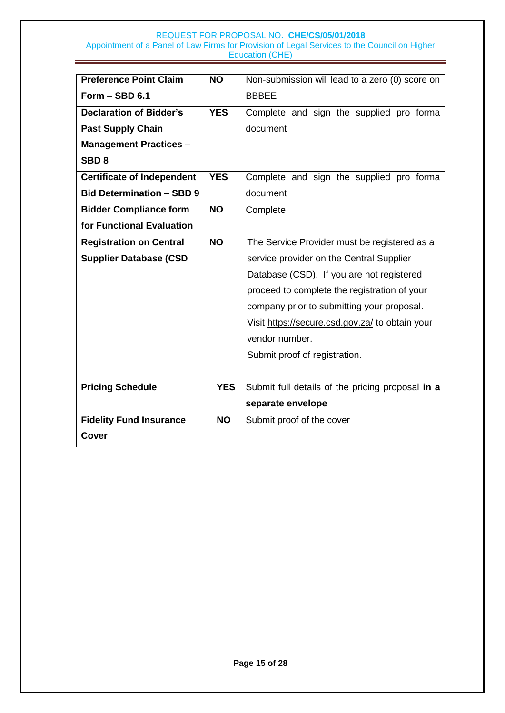| <b>Preference Point Claim</b>     | <b>NO</b>  | Non-submission will lead to a zero (0) score on  |  |  |
|-----------------------------------|------------|--------------------------------------------------|--|--|
| Form - SBD 6.1                    |            | <b>BBBEE</b>                                     |  |  |
| <b>Declaration of Bidder's</b>    | <b>YES</b> | Complete and sign the supplied pro forma         |  |  |
| <b>Past Supply Chain</b>          |            | document                                         |  |  |
| <b>Management Practices -</b>     |            |                                                  |  |  |
| SBD <sub>8</sub>                  |            |                                                  |  |  |
| <b>Certificate of Independent</b> | <b>YES</b> | Complete and sign the supplied pro forma         |  |  |
| <b>Bid Determination - SBD 9</b>  |            | document                                         |  |  |
| <b>Bidder Compliance form</b>     | <b>NO</b>  | Complete                                         |  |  |
| for Functional Evaluation         |            |                                                  |  |  |
| <b>Registration on Central</b>    | <b>NO</b>  | The Service Provider must be registered as a     |  |  |
| <b>Supplier Database (CSD</b>     |            | service provider on the Central Supplier         |  |  |
|                                   |            | Database (CSD). If you are not registered        |  |  |
|                                   |            | proceed to complete the registration of your     |  |  |
|                                   |            | company prior to submitting your proposal.       |  |  |
|                                   |            | Visit https://secure.csd.gov.za/ to obtain your  |  |  |
|                                   |            | vendor number.                                   |  |  |
|                                   |            | Submit proof of registration.                    |  |  |
|                                   |            |                                                  |  |  |
| <b>Pricing Schedule</b>           | <b>YES</b> | Submit full details of the pricing proposal in a |  |  |
|                                   |            | separate envelope                                |  |  |
| <b>Fidelity Fund Insurance</b>    | <b>NO</b>  | Submit proof of the cover                        |  |  |
| <b>Cover</b>                      |            |                                                  |  |  |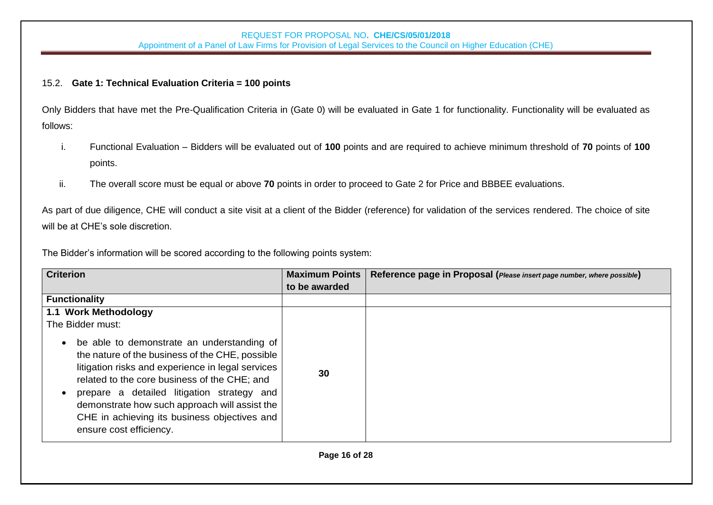### 15.2. **Gate 1: Technical Evaluation Criteria = 100 points**

Only Bidders that have met the Pre-Qualification Criteria in (Gate 0) will be evaluated in Gate 1 for functionality. Functionality will be evaluated as follows:

- i. Functional Evaluation Bidders will be evaluated out of **100** points and are required to achieve minimum threshold of **70** points of **100** points.
- ii. The overall score must be equal or above **70** points in order to proceed to Gate 2 for Price and BBBEE evaluations.

As part of due diligence, CHE will conduct a site visit at a client of the Bidder (reference) for validation of the services rendered. The choice of site will be at CHE's sole discretion.

The Bidder's information will be scored according to the following points system:

| <b>Criterion</b>                                                                                                                                                                                                                                                                                                                                                                          | <b>Maximum Points</b> | Reference page in Proposal (Please insert page number, where possible) |
|-------------------------------------------------------------------------------------------------------------------------------------------------------------------------------------------------------------------------------------------------------------------------------------------------------------------------------------------------------------------------------------------|-----------------------|------------------------------------------------------------------------|
|                                                                                                                                                                                                                                                                                                                                                                                           | to be awarded         |                                                                        |
| <b>Functionality</b>                                                                                                                                                                                                                                                                                                                                                                      |                       |                                                                        |
| 1.1 Work Methodology                                                                                                                                                                                                                                                                                                                                                                      |                       |                                                                        |
| The Bidder must:                                                                                                                                                                                                                                                                                                                                                                          |                       |                                                                        |
| be able to demonstrate an understanding of<br>$\bullet$<br>the nature of the business of the CHE, possible<br>litigation risks and experience in legal services<br>related to the core business of the CHE; and<br>prepare a detailed litigation strategy and<br>demonstrate how such approach will assist the<br>CHE in achieving its business objectives and<br>ensure cost efficiency. | 30                    |                                                                        |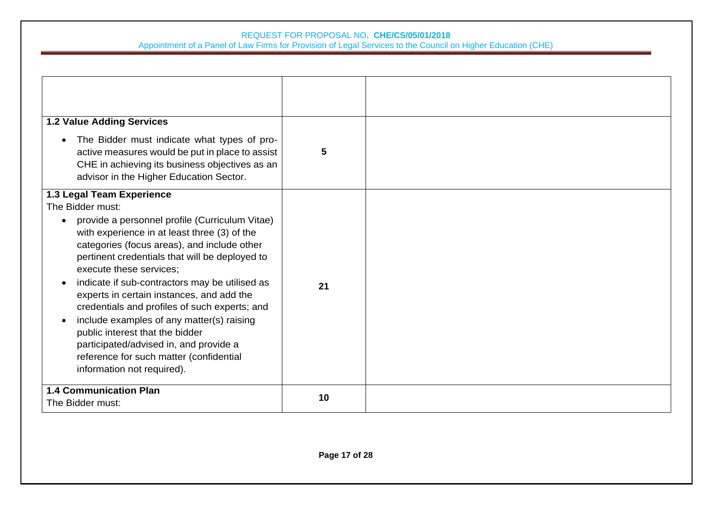#### REQUEST FOR PROPOSAL NO**. CHE/CS/05/01/2018**

Appointment of a Panel of Law Firms for Provision of Legal Services to the Council on Higher Education (CHE)

| <b>1.2 Value Adding Services</b><br>The Bidder must indicate what types of pro-<br>$\bullet$<br>active measures would be put in place to assist                                                                                                                                                                                                                                                                                                                                                                                                                                                                                             | 5  |  |
|---------------------------------------------------------------------------------------------------------------------------------------------------------------------------------------------------------------------------------------------------------------------------------------------------------------------------------------------------------------------------------------------------------------------------------------------------------------------------------------------------------------------------------------------------------------------------------------------------------------------------------------------|----|--|
| CHE in achieving its business objectives as an<br>advisor in the Higher Education Sector.                                                                                                                                                                                                                                                                                                                                                                                                                                                                                                                                                   |    |  |
| 1.3 Legal Team Experience<br>The Bidder must:<br>provide a personnel profile (Curriculum Vitae)<br>$\bullet$<br>with experience in at least three (3) of the<br>categories (focus areas), and include other<br>pertinent credentials that will be deployed to<br>execute these services;<br>indicate if sub-contractors may be utilised as<br>experts in certain instances, and add the<br>credentials and profiles of such experts; and<br>include examples of any matter(s) raising<br>public interest that the bidder<br>participated/advised in, and provide a<br>reference for such matter (confidential<br>information not required). | 21 |  |
| <b>1.4 Communication Plan</b><br>The Bidder must:                                                                                                                                                                                                                                                                                                                                                                                                                                                                                                                                                                                           | 10 |  |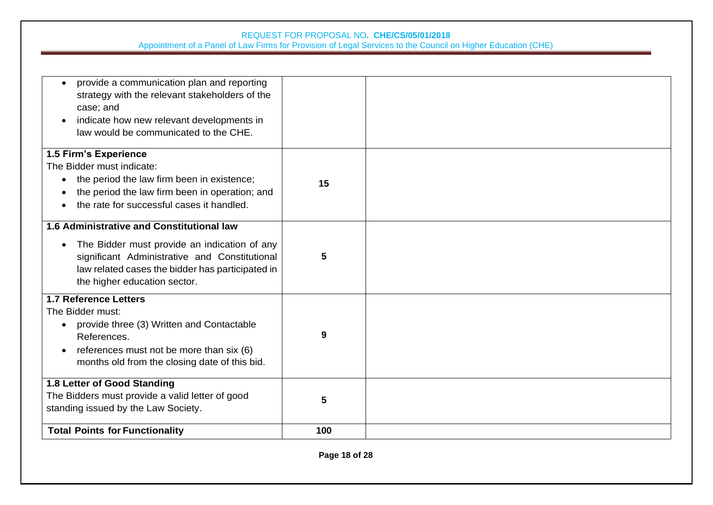| provide a communication plan and reporting<br>$\bullet$<br>strategy with the relevant stakeholders of the<br>case; and<br>indicate how new relevant developments in<br>law would be communicated to the CHE.                          |     |  |
|---------------------------------------------------------------------------------------------------------------------------------------------------------------------------------------------------------------------------------------|-----|--|
| 1.5 Firm's Experience<br>The Bidder must indicate:<br>the period the law firm been in existence;<br>the period the law firm been in operation; and<br>the rate for successful cases it handled.                                       | 15  |  |
| <b>1.6 Administrative and Constitutional law</b><br>The Bidder must provide an indication of any<br>significant Administrative and Constitutional<br>law related cases the bidder has participated in<br>the higher education sector. | 5   |  |
| <b>1.7 Reference Letters</b><br>The Bidder must:<br>provide three (3) Written and Contactable<br>References.<br>references must not be more than six (6)<br>months old from the closing date of this bid.                             | 9   |  |
| 1.8 Letter of Good Standing<br>The Bidders must provide a valid letter of good<br>standing issued by the Law Society.                                                                                                                 | 5   |  |
| <b>Total Points for Functionality</b>                                                                                                                                                                                                 | 100 |  |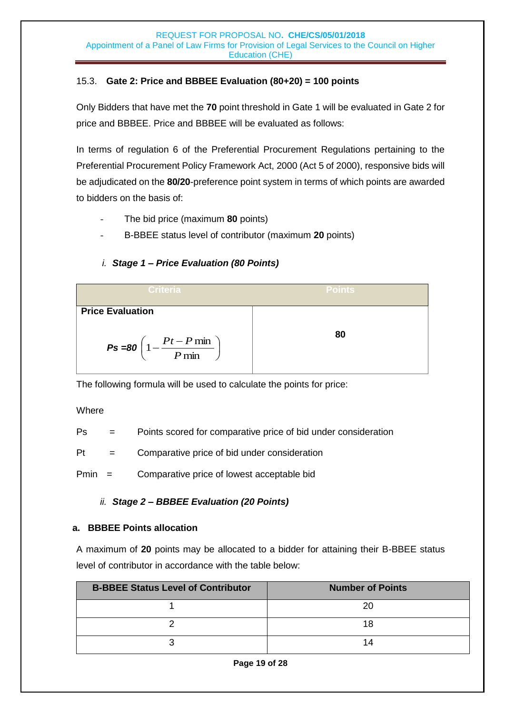### 15.3. **Gate 2: Price and BBBEE Evaluation (80+20) = 100 points**

Only Bidders that have met the **70** point threshold in Gate 1 will be evaluated in Gate 2 for price and BBBEE. Price and BBBEE will be evaluated as follows:

In terms of regulation 6 of the Preferential Procurement Regulations pertaining to the Preferential Procurement Policy Framework Act, 2000 (Act 5 of 2000), responsive bids will be adjudicated on the **80/20**-preference point system in terms of which points are awarded to bidders on the basis of:

- The bid price (maximum **80** points)
- B-BBEE status level of contributor (maximum **20** points)

### *i. Stage 1 – Price Evaluation (80 Points)*

| Criteria                                                                                     | <b>Points</b> |
|----------------------------------------------------------------------------------------------|---------------|
| <b>Price Evaluation</b><br>$P\mathbf{s} = 80 \left( 1 - \frac{Pt - P \min P}{ \min} \right)$ | 80            |
|                                                                                              |               |

The following formula will be used to calculate the points for price:

### **Where**

Ps = Points scored for comparative price of bid under consideration

 $Pt =$  Comparative price of bid under consideration

Pmin = Comparative price of lowest acceptable bid

### *ii. Stage 2 – BBBEE Evaluation (20 Points)*

### **a. BBBEE Points allocation**

A maximum of **20** points may be allocated to a bidder for attaining their B-BBEE status level of contributor in accordance with the table below:

| <b>B-BBEE Status Level of Contributor</b> | <b>Number of Points</b> |
|-------------------------------------------|-------------------------|
|                                           |                         |
|                                           |                         |
|                                           | 14                      |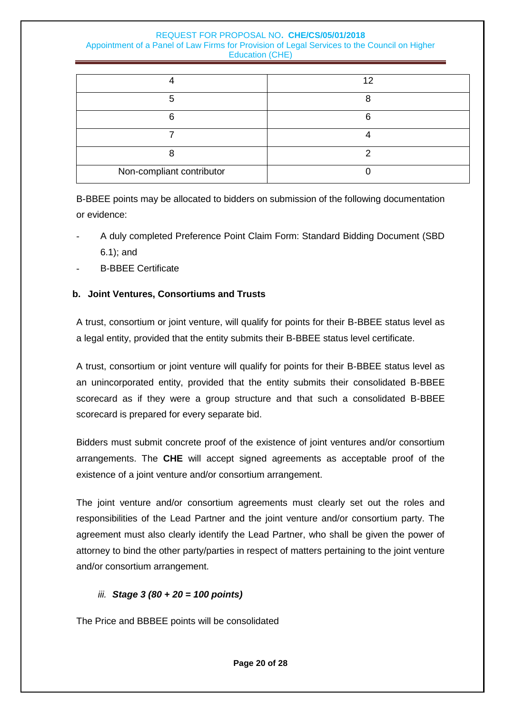|                           | ィク |
|---------------------------|----|
|                           |    |
|                           |    |
|                           |    |
|                           |    |
| Non-compliant contributor |    |

B-BBEE points may be allocated to bidders on submission of the following documentation or evidence:

- A duly completed Preference Point Claim Form: Standard Bidding Document (SBD 6.1); and
- B-BBEE Certificate

### **b. Joint Ventures, Consortiums and Trusts**

A trust, consortium or joint venture, will qualify for points for their B-BBEE status level as a legal entity, provided that the entity submits their B-BBEE status level certificate.

A trust, consortium or joint venture will qualify for points for their B-BBEE status level as an unincorporated entity, provided that the entity submits their consolidated B-BBEE scorecard as if they were a group structure and that such a consolidated B-BBEE scorecard is prepared for every separate bid.

Bidders must submit concrete proof of the existence of joint ventures and/or consortium arrangements. The **CHE** will accept signed agreements as acceptable proof of the existence of a joint venture and/or consortium arrangement.

The joint venture and/or consortium agreements must clearly set out the roles and responsibilities of the Lead Partner and the joint venture and/or consortium party. The agreement must also clearly identify the Lead Partner, who shall be given the power of attorney to bind the other party/parties in respect of matters pertaining to the joint venture and/or consortium arrangement.

### *iii. Stage 3 (80 + 20 = 100 points)*

The Price and BBBEE points will be consolidated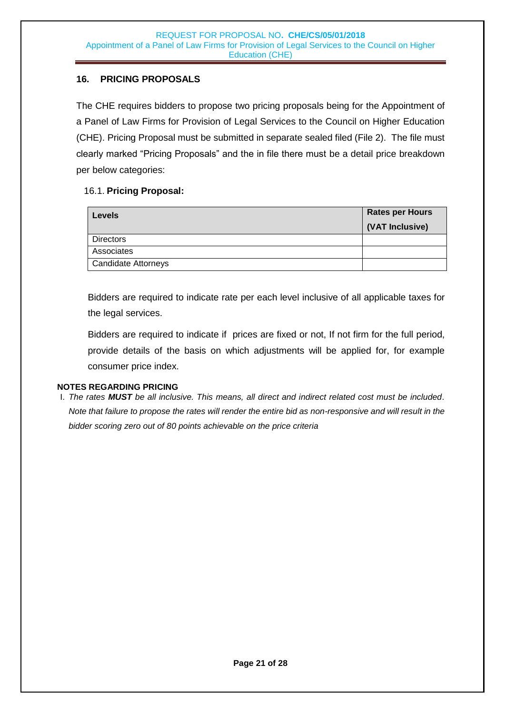### **16. PRICING PROPOSALS**

The CHE requires bidders to propose two pricing proposals being for the Appointment of a Panel of Law Firms for Provision of Legal Services to the Council on Higher Education (CHE). Pricing Proposal must be submitted in separate sealed filed (File 2). The file must clearly marked "Pricing Proposals" and the in file there must be a detail price breakdown per below categories:

### 16.1. **Pricing Proposal:**

| <b>Rates per Hours</b><br><b>Levels</b> | (VAT Inclusive) |
|-----------------------------------------|-----------------|
| <b>Directors</b>                        |                 |
| Associates                              |                 |
| <b>Candidate Attorneys</b>              |                 |

Bidders are required to indicate rate per each level inclusive of all applicable taxes for the legal services.

<span id="page-20-0"></span>Bidders are required to indicate if prices are fixed or not, If not firm for the full period, provide details of the basis on which adjustments will be applied for, for example consumer price index.

#### **NOTES REGARDING PRICING**

I. *The rates MUST be all inclusive. This means, all direct and indirect related cost must be included. Note that failure to propose the rates will render the entire bid as non-responsive and will result in the bidder scoring zero out of 80 points achievable on the price criteria*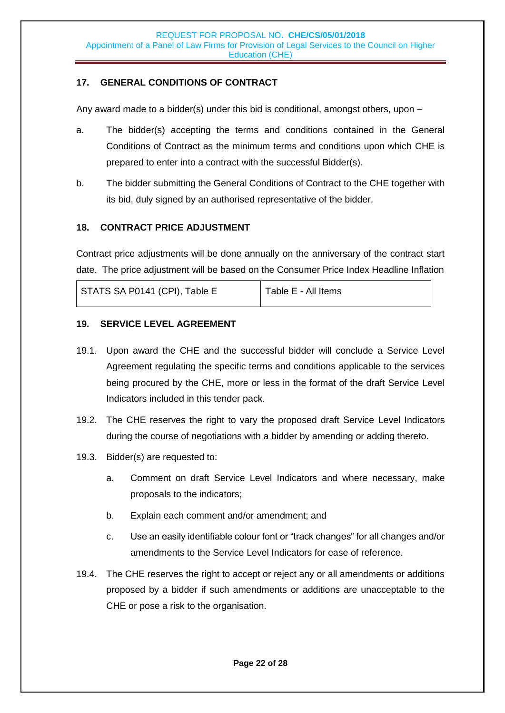### **17. GENERAL CONDITIONS OF CONTRACT**

Any award made to a bidder(s) under this bid is conditional, amongst others, upon –

- a. The bidder(s) accepting the terms and conditions contained in the General Conditions of Contract as the minimum terms and conditions upon which CHE is prepared to enter into a contract with the successful Bidder(s).
- b. The bidder submitting the General Conditions of Contract to the CHE together with its bid, duly signed by an authorised representative of the bidder.

### <span id="page-21-0"></span>**18. CONTRACT PRICE ADJUSTMENT**

Contract price adjustments will be done annually on the anniversary of the contract start date. The price adjustment will be based on the Consumer Price Index Headline Inflation

| STATS SA P0141 (CPI), Table E | Table E - All Items |
|-------------------------------|---------------------|
|                               |                     |

### <span id="page-21-1"></span>**19. SERVICE LEVEL AGREEMENT**

- 19.1. Upon award the CHE and the successful bidder will conclude a Service Level Agreement regulating the specific terms and conditions applicable to the services being procured by the CHE, more or less in the format of the draft Service Level Indicators included in this tender pack.
- 19.2. The CHE reserves the right to vary the proposed draft Service Level Indicators during the course of negotiations with a bidder by amending or adding thereto.
- 19.3. Bidder(s) are requested to:
	- a. Comment on draft Service Level Indicators and where necessary, make proposals to the indicators;
	- b. Explain each comment and/or amendment; and
	- c. Use an easily identifiable colour font or "track changes" for all changes and/or amendments to the Service Level Indicators for ease of reference.
- 19.4. The CHE reserves the right to accept or reject any or all amendments or additions proposed by a bidder if such amendments or additions are unacceptable to the CHE or pose a risk to the organisation.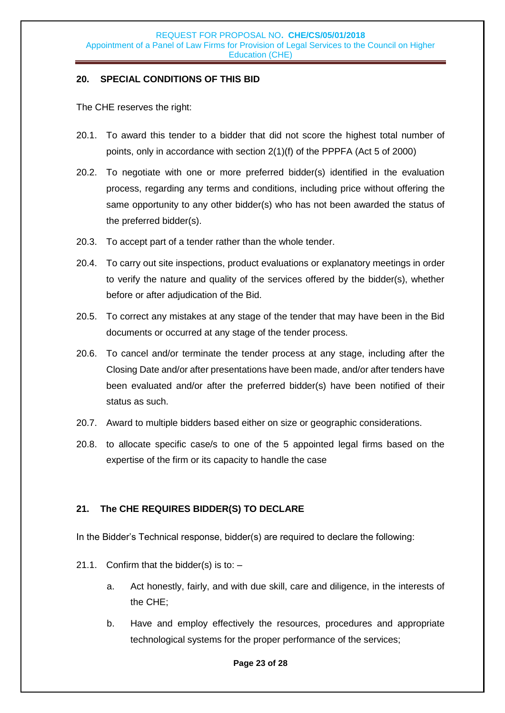### <span id="page-22-0"></span>**20. SPECIAL CONDITIONS OF THIS BID**

The CHE reserves the right:

- 20.1. To award this tender to a bidder that did not score the highest total number of points, only in accordance with section 2(1)(f) of the PPPFA (Act 5 of 2000)
- 20.2. To negotiate with one or more preferred bidder(s) identified in the evaluation process, regarding any terms and conditions, including price without offering the same opportunity to any other bidder(s) who has not been awarded the status of the preferred bidder(s).
- 20.3. To accept part of a tender rather than the whole tender.
- 20.4. To carry out site inspections, product evaluations or explanatory meetings in order to verify the nature and quality of the services offered by the bidder(s), whether before or after adjudication of the Bid.
- 20.5. To correct any mistakes at any stage of the tender that may have been in the Bid documents or occurred at any stage of the tender process.
- 20.6. To cancel and/or terminate the tender process at any stage, including after the Closing Date and/or after presentations have been made, and/or after tenders have been evaluated and/or after the preferred bidder(s) have been notified of their status as such.
- 20.7. Award to multiple bidders based either on size or geographic considerations.
- 20.8. to allocate specific case/s to one of the 5 appointed legal firms based on the expertise of the firm or its capacity to handle the case

### <span id="page-22-1"></span>**21. The CHE REQUIRES BIDDER(S) TO DECLARE**

In the Bidder's Technical response, bidder(s) are required to declare the following:

- 21.1. Confirm that the bidder(s) is to:
	- a. Act honestly, fairly, and with due skill, care and diligence, in the interests of the CHE;
	- b. Have and employ effectively the resources, procedures and appropriate technological systems for the proper performance of the services;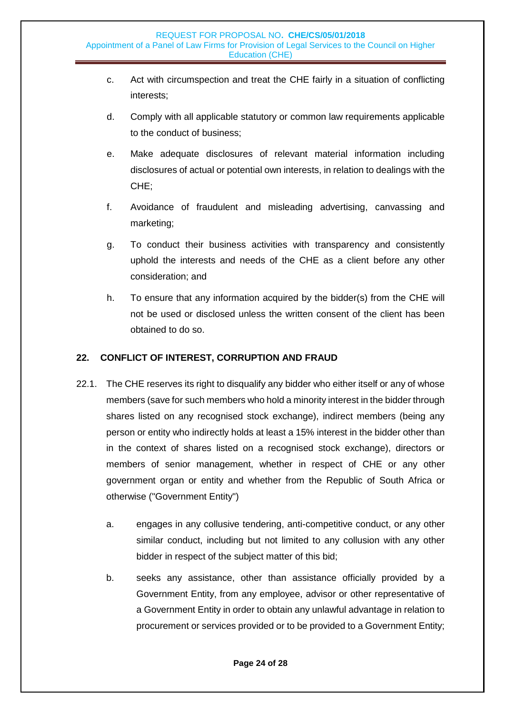- c. Act with circumspection and treat the CHE fairly in a situation of conflicting interests;
- d. Comply with all applicable statutory or common law requirements applicable to the conduct of business;
- e. Make adequate disclosures of relevant material information including disclosures of actual or potential own interests, in relation to dealings with the CHE;
- f. Avoidance of fraudulent and misleading advertising, canvassing and marketing;
- g. To conduct their business activities with transparency and consistently uphold the interests and needs of the CHE as a client before any other consideration; and
- h. To ensure that any information acquired by the bidder(s) from the CHE will not be used or disclosed unless the written consent of the client has been obtained to do so.

### <span id="page-23-0"></span>**22. CONFLICT OF INTEREST, CORRUPTION AND FRAUD**

- 22.1. The CHE reserves its right to disqualify any bidder who either itself or any of whose members (save for such members who hold a minority interest in the bidder through shares listed on any recognised stock exchange), indirect members (being any person or entity who indirectly holds at least a 15% interest in the bidder other than in the context of shares listed on a recognised stock exchange), directors or members of senior management, whether in respect of CHE or any other government organ or entity and whether from the Republic of South Africa or otherwise ("Government Entity")
	- a. engages in any collusive tendering, anti-competitive conduct, or any other similar conduct, including but not limited to any collusion with any other bidder in respect of the subject matter of this bid;
	- b. seeks any assistance, other than assistance officially provided by a Government Entity, from any employee, advisor or other representative of a Government Entity in order to obtain any unlawful advantage in relation to procurement or services provided or to be provided to a Government Entity;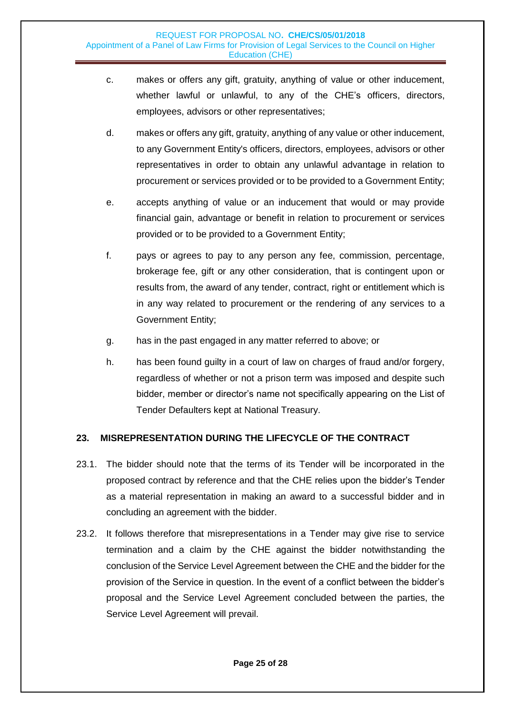- c. makes or offers any gift, gratuity, anything of value or other inducement, whether lawful or unlawful, to any of the CHE's officers, directors, employees, advisors or other representatives;
- d. makes or offers any gift, gratuity, anything of any value or other inducement, to any Government Entity's officers, directors, employees, advisors or other representatives in order to obtain any unlawful advantage in relation to procurement or services provided or to be provided to a Government Entity;
- e. accepts anything of value or an inducement that would or may provide financial gain, advantage or benefit in relation to procurement or services provided or to be provided to a Government Entity;
- f. pays or agrees to pay to any person any fee, commission, percentage, brokerage fee, gift or any other consideration, that is contingent upon or results from, the award of any tender, contract, right or entitlement which is in any way related to procurement or the rendering of any services to a Government Entity;
- g. has in the past engaged in any matter referred to above; or
- h. has been found guilty in a court of law on charges of fraud and/or forgery, regardless of whether or not a prison term was imposed and despite such bidder, member or director's name not specifically appearing on the List of Tender Defaulters kept at National Treasury.

### <span id="page-24-0"></span>**23. MISREPRESENTATION DURING THE LIFECYCLE OF THE CONTRACT**

- 23.1. The bidder should note that the terms of its Tender will be incorporated in the proposed contract by reference and that the CHE relies upon the bidder's Tender as a material representation in making an award to a successful bidder and in concluding an agreement with the bidder.
- 23.2. It follows therefore that misrepresentations in a Tender may give rise to service termination and a claim by the CHE against the bidder notwithstanding the conclusion of the Service Level Agreement between the CHE and the bidder for the provision of the Service in question. In the event of a conflict between the bidder's proposal and the Service Level Agreement concluded between the parties, the Service Level Agreement will prevail.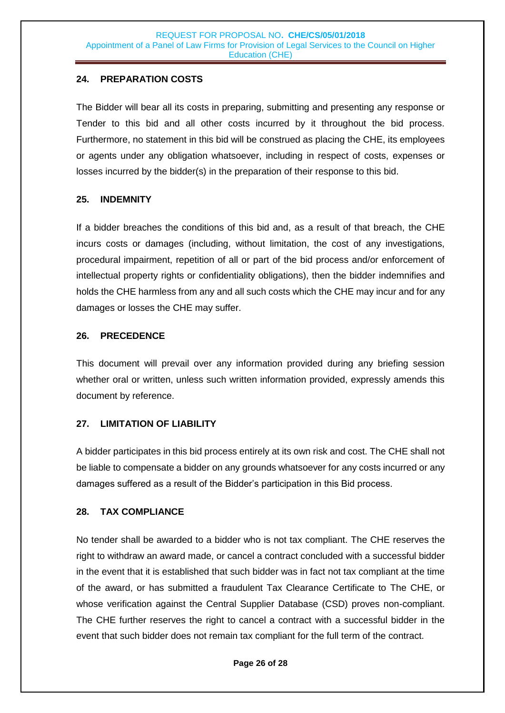### <span id="page-25-0"></span>**24. PREPARATION COSTS**

The Bidder will bear all its costs in preparing, submitting and presenting any response or Tender to this bid and all other costs incurred by it throughout the bid process. Furthermore, no statement in this bid will be construed as placing the CHE, its employees or agents under any obligation whatsoever, including in respect of costs, expenses or losses incurred by the bidder(s) in the preparation of their response to this bid.

### <span id="page-25-1"></span>**25. INDEMNITY**

If a bidder breaches the conditions of this bid and, as a result of that breach, the CHE incurs costs or damages (including, without limitation, the cost of any investigations, procedural impairment, repetition of all or part of the bid process and/or enforcement of intellectual property rights or confidentiality obligations), then the bidder indemnifies and holds the CHE harmless from any and all such costs which the CHE may incur and for any damages or losses the CHE may suffer.

### <span id="page-25-2"></span>**26. PRECEDENCE**

This document will prevail over any information provided during any briefing session whether oral or written, unless such written information provided, expressly amends this document by reference.

### <span id="page-25-3"></span>**27. LIMITATION OF LIABILITY**

A bidder participates in this bid process entirely at its own risk and cost. The CHE shall not be liable to compensate a bidder on any grounds whatsoever for any costs incurred or any damages suffered as a result of the Bidder's participation in this Bid process.

### <span id="page-25-4"></span>**28. TAX COMPLIANCE**

No tender shall be awarded to a bidder who is not tax compliant. The CHE reserves the right to withdraw an award made, or cancel a contract concluded with a successful bidder in the event that it is established that such bidder was in fact not tax compliant at the time of the award, or has submitted a fraudulent Tax Clearance Certificate to The CHE, or whose verification against the Central Supplier Database (CSD) proves non-compliant. The CHE further reserves the right to cancel a contract with a successful bidder in the event that such bidder does not remain tax compliant for the full term of the contract.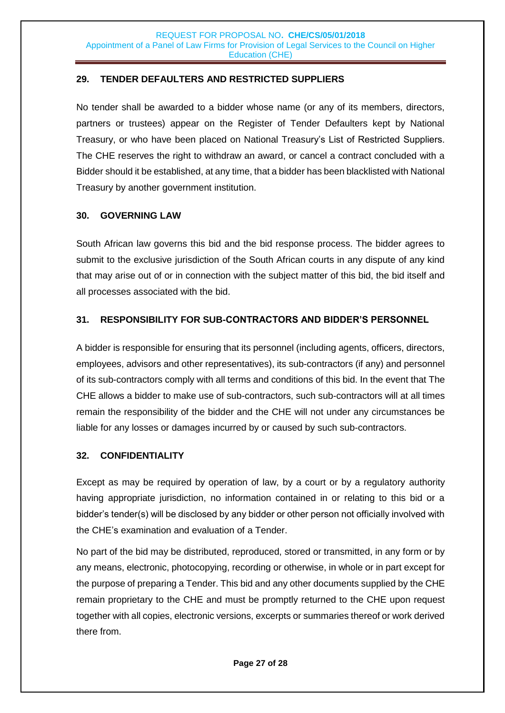### <span id="page-26-0"></span>**29. TENDER DEFAULTERS AND RESTRICTED SUPPLIERS**

No tender shall be awarded to a bidder whose name (or any of its members, directors, partners or trustees) appear on the Register of Tender Defaulters kept by National Treasury, or who have been placed on National Treasury's List of Restricted Suppliers. The CHE reserves the right to withdraw an award, or cancel a contract concluded with a Bidder should it be established, at any time, that a bidder has been blacklisted with National Treasury by another government institution.

### <span id="page-26-1"></span>**30. GOVERNING LAW**

South African law governs this bid and the bid response process. The bidder agrees to submit to the exclusive jurisdiction of the South African courts in any dispute of any kind that may arise out of or in connection with the subject matter of this bid, the bid itself and all processes associated with the bid.

### <span id="page-26-2"></span>**31. RESPONSIBILITY FOR SUB-CONTRACTORS AND BIDDER'S PERSONNEL**

A bidder is responsible for ensuring that its personnel (including agents, officers, directors, employees, advisors and other representatives), its sub-contractors (if any) and personnel of its sub-contractors comply with all terms and conditions of this bid. In the event that The CHE allows a bidder to make use of sub-contractors, such sub-contractors will at all times remain the responsibility of the bidder and the CHE will not under any circumstances be liable for any losses or damages incurred by or caused by such sub-contractors.

### <span id="page-26-3"></span>**32. CONFIDENTIALITY**

Except as may be required by operation of law, by a court or by a regulatory authority having appropriate jurisdiction, no information contained in or relating to this bid or a bidder's tender(s) will be disclosed by any bidder or other person not officially involved with the CHE's examination and evaluation of a Tender.

No part of the bid may be distributed, reproduced, stored or transmitted, in any form or by any means, electronic, photocopying, recording or otherwise, in whole or in part except for the purpose of preparing a Tender. This bid and any other documents supplied by the CHE remain proprietary to the CHE and must be promptly returned to the CHE upon request together with all copies, electronic versions, excerpts or summaries thereof or work derived there from.